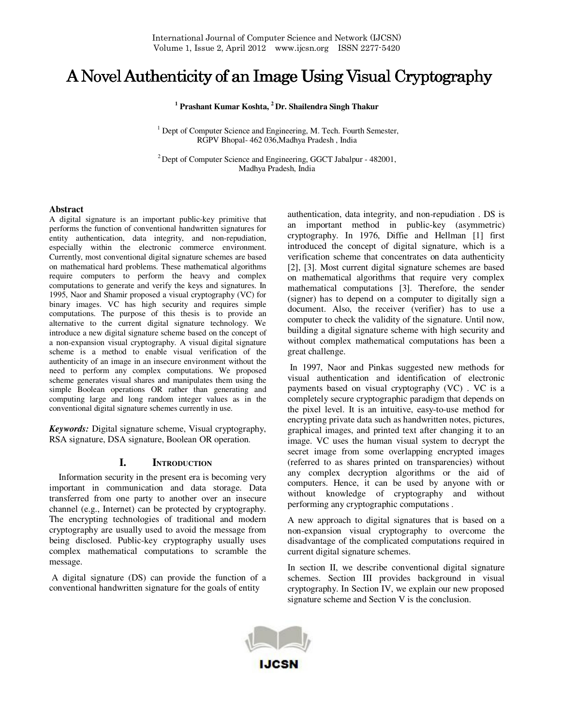# A Novel Authenticity of an Image Using Visual Cryptography

**1 Prashant Kumar Koshta, <sup>2</sup>Dr. Shailendra Singh Thakur**

<sup>1</sup> Dept of Computer Science and Engineering, M. Tech. Fourth Semester, RGPV Bhopal- 462 036,Madhya Pradesh , India

 $2^2$  Dept of Computer Science and Engineering, GGCT Jabalpur - 482001, Madhya Pradesh, India

### **Abstract**

A digital signature is an important public-key primitive that performs the function of conventional handwritten signatures for entity authentication, data integrity, and non-repudiation, especially within the electronic commerce environment. Currently, most conventional digital signature schemes are based on mathematical hard problems. These mathematical algorithms require computers to perform the heavy and complex computations to generate and verify the keys and signatures. In 1995, Naor and Shamir proposed a visual cryptography (VC) for binary images. VC has high security and requires simple computations. The purpose of this thesis is to provide an alternative to the current digital signature technology. We introduce a new digital signature scheme based on the concept of a non-expansion visual cryptography. A visual digital signature scheme is a method to enable visual verification of the authenticity of an image in an insecure environment without the need to perform any complex computations. We proposed scheme generates visual shares and manipulates them using the simple Boolean operations OR rather than generating and computing large and long random integer values as in the conventional digital signature schemes currently in use.

*Keywords:* Digital signature scheme, Visual cryptography, RSA signature, DSA signature, Boolean OR operation*.*

# **I. INTRODUCTION**

 Information security in the present era is becoming very important in communication and data storage. Data transferred from one party to another over an insecure channel (e.g., Internet) can be protected by cryptography. The encrypting technologies of traditional and modern cryptography are usually used to avoid the message from being disclosed. Public-key cryptography usually uses complex mathematical computations to scramble the message.

 A digital signature (DS) can provide the function of a conventional handwritten signature for the goals of entity

authentication, data integrity, and non-repudiation . DS is an important method in public-key (asymmetric) cryptography. In 1976, Diffie and Hellman [1] first introduced the concept of digital signature, which is a verification scheme that concentrates on data authenticity [2], [3]. Most current digital signature schemes are based on mathematical algorithms that require very complex mathematical computations [3]. Therefore, the sender (signer) has to depend on a computer to digitally sign a document. Also, the receiver (verifier) has to use a computer to check the validity of the signature. Until now, building a digital signature scheme with high security and without complex mathematical computations has been a great challenge.

 In 1997, Naor and Pinkas suggested new methods for visual authentication and identification of electronic payments based on visual cryptography (VC) . VC is a completely secure cryptographic paradigm that depends on the pixel level. It is an intuitive, easy-to-use method for encrypting private data such as handwritten notes, pictures, graphical images, and printed text after changing it to an image. VC uses the human visual system to decrypt the secret image from some overlapping encrypted images (referred to as shares printed on transparencies) without any complex decryption algorithms or the aid of computers. Hence, it can be used by anyone with or without knowledge of cryptography and without performing any cryptographic computations .

A new approach to digital signatures that is based on a non-expansion visual cryptography to overcome the disadvantage of the complicated computations required in current digital signature schemes.

In section II, we describe conventional digital signature schemes. Section III provides background in visual cryptography. In Section IV, we explain our new proposed signature scheme and Section V is the conclusion.

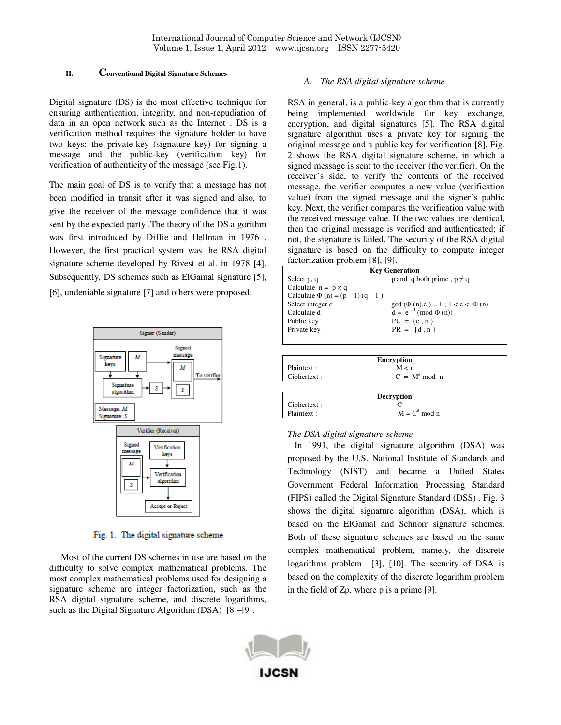## **II. Conventional Digital Signature Schemes**

Digital signature (DS) is the most effective technique for ensuring authentication, integrity, and non-repudiation of data in an open network such as the Internet . DS is a verification method requires the signature holder to have two keys: the private-key (signature key) for signing a message and the public-key (verification key) for verification of authenticity of the message (see Fig.1).

The main goal of DS is to verify that a message has not been modified in transit after it was signed and also, to give the receiver of the message confidence that it was sent by the expected party .The theory of the DS algorithm was first introduced by Diffie and Hellman in 1976 . However, the first practical system was the RSA digital signature scheme developed by Rivest et al. in 1978 [4]. Subsequently, DS schemes such as ElGamal signature [5], [6], undeniable signature [7] and others were proposed.



Fig. 1. The digital signature scheme

 Most of the current DS schemes in use are based on the difficulty to solve complex mathematical problems. The most complex mathematical problems used for designing a signature scheme are integer factorization, such as the RSA digital signature scheme, and discrete logarithms, such as the Digital Signature Algorithm (DSA) [8]–[9].

## *A. The RSA digital signature scheme*

RSA in general, is a public-key algorithm that is currently being implemented worldwide for key exchange, encryption, and digital signatures [5]. The RSA digital signature algorithm uses a private key for signing the original message and a public key for verification [8]. Fig. 2 shows the RSA digital signature scheme, in which a signed message is sent to the receiver (the verifier). On the receiver's side, to verify the contents of the received message, the verifier computes a new value (verification value) from the signed message and the signer's public key. Next, the verifier compares the verification value with the received message value. If the two values are identical, then the original message is verified and authenticated; if not, the signature is failed. The security of the RSA digital signature is based on the difficulty to compute integer factorization problem [8], [9].

| <b>Key Generation</b>                 |                                           |  |  |  |
|---------------------------------------|-------------------------------------------|--|--|--|
| Select p, q                           | p and q both prime, $p \neq q$            |  |  |  |
| Calculate $n = p \times q$            |                                           |  |  |  |
| Calculate $\Phi(n) = (p - 1) (q - 1)$ |                                           |  |  |  |
| Select integer e                      | $gcd(\Phi(n), e) = 1$ ; $1 < e < \Phi(n)$ |  |  |  |
| Calculate d                           | $d \equiv e^{-1} \pmod{\Phi(n)}$          |  |  |  |
| Public key                            | $PU = \{e, n\}$                           |  |  |  |
| Private key                           | $PR = \{d, n\}$                           |  |  |  |
|                                       |                                           |  |  |  |

| <b>Encryption</b> |                |  |  |
|-------------------|----------------|--|--|
| Plaintext :       | M < n          |  |  |
| Ciphertext :      | $C = Me$ mod n |  |  |

|              | Decryption      |  |
|--------------|-----------------|--|
| Ciphertext : |                 |  |
| Plaintext:   | $M = Cd \mod n$ |  |

### *The DSA digital signature scheme*

 In 1991, the digital signature algorithm (DSA) was proposed by the U.S. National Institute of Standards and Technology (NIST) and became a United States Government Federal Information Processing Standard (FIPS) called the Digital Signature Standard (DSS) . Fig. 3 shows the digital signature algorithm (DSA), which is based on the ElGamal and Schnorr signature schemes. Both of these signature schemes are based on the same complex mathematical problem, namely, the discrete logarithms problem [3], [10]. The security of DSA is based on the complexity of the discrete logarithm problem in the field of Zp, where p is a prime [9].

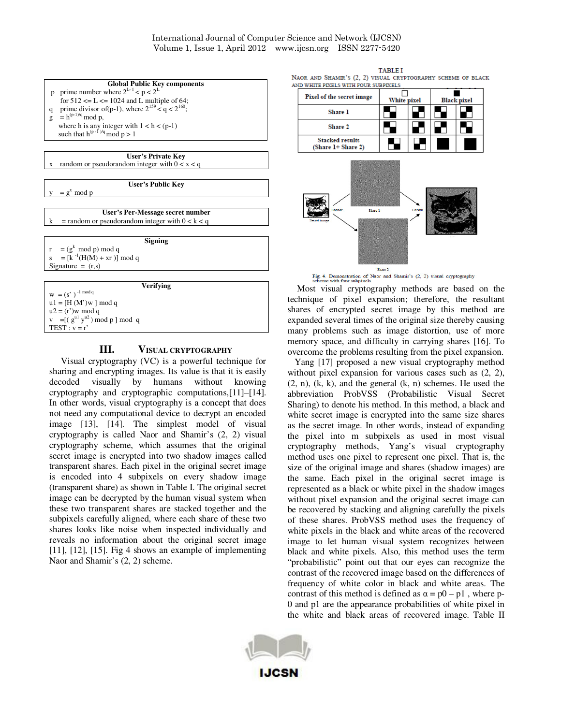International Journal of Computer Science and Network (IJCSN) Volume 1, Issue 1, April 2012 www.ijcsn.org ISSN 2277-5420

| <b>Global Public Key components</b>                          |
|--------------------------------------------------------------|
| p prime number where $2^{L-1} < p < 2^L$                     |
| for $512 \le L \le 1024$ and L multiple of 64;               |
| prime divisor of (p-1), where $2^{159} < q < 2^{160}$ ;<br>q |
| $= h^{(p-1)/q} \mod p$ ,<br>$\mathbf{g}$                     |
| where h is any integer with $1 < h < (p-1)$                  |
| such that $h^{(p-1)/q} \mod p > 1$                           |
|                                                              |
| User's Private Key                                           |
| random or pseudorandom integer with $0 < x < q$<br>X         |
|                                                              |
| User's Public Kev                                            |
| $= g^x \mod p$                                               |
|                                                              |
| User's Per-Message secret number                             |
| = random or pseudorandom integer with $0 < k < q$<br>k       |
|                                                              |
| <b>Signing</b>                                               |
| $r = (g^k \mod p) \mod q$                                    |
| $s = [k^{-1}(H(M) + xr)] \mod q$                             |
| Signature = $(r,s)$                                          |
|                                                              |
| <b>Verifying</b>                                             |
| $W = (s')^{-1} \mod q$                                       |
| $u1 = [H(M')w] \text{ mod } q$                               |
| $u2 = (r')w \mod q$                                          |
| $v = [(g^{u_1} y^{u_2}) \bmod p] \bmod q$                    |
| $TEST : v = r'$                                              |
|                                                              |

# **III. VISUAL CRYPTOGRAPHY**

 Visual cryptography (VC) is a powerful technique for sharing and encrypting images. Its value is that it is easily decoded visually by humans without knowing cryptography and cryptographic computations,[11]–[14]. In other words, visual cryptography is a concept that does not need any computational device to decrypt an encoded image [13], [14]. The simplest model of visual cryptography is called Naor and Shamir's (2, 2) visual cryptography scheme, which assumes that the original secret image is encrypted into two shadow images called transparent shares. Each pixel in the original secret image is encoded into 4 subpixels on every shadow image (transparent share) as shown in Table I. The original secret image can be decrypted by the human visual system when these two transparent shares are stacked together and the subpixels carefully aligned, where each share of these two shares looks like noise when inspected individually and reveals no information about the original secret image [11], [12], [15]. Fig 4 shows an example of implementing Naor and Shamir's (2, 2) scheme.

**TARLET** NAOR AND SHAMIR'S (2, 2) VISUAL CRYPTOGRAPHY SCHEME OF BLACK

| ND WHITE PIXELS WITH FOUR SUBPIXELS          |             |  |                    |  |  |  |
|----------------------------------------------|-------------|--|--------------------|--|--|--|
| Pixel of the secret image                    | White pixel |  | <b>Black pixel</b> |  |  |  |
| Share 1                                      |             |  |                    |  |  |  |
| <b>Share 2</b>                               |             |  |                    |  |  |  |
| <b>Stacked results</b><br>(Share 1+ Share 2) |             |  |                    |  |  |  |
| Encode<br>Decode<br>Share 1<br>Secret image  |             |  |                    |  |  |  |

Share 2

**BEAT AND REAL PROPERTY** 

Fig. 4. Demonstration of Naor and Shamir's (2, 2) visual cryptography scheme with four subpixels<br>Most visual cryptography methods are based on the technique of pixel expansion; therefore, the resultant shares of encrypted secret image by this method are expanded several times of the original size thereby causing many problems such as image distortion, use of more memory space, and difficulty in carrying shares [16]. To overcome the problems resulting from the pixel expansion.

 Yang [17] proposed a new visual cryptography method without pixel expansion for various cases such as (2, 2),  $(2, n)$ ,  $(k, k)$ , and the general  $(k, n)$  schemes. He used the abbreviation ProbVSS (Probabilistic Visual Secret Sharing) to denote his method. In this method, a black and white secret image is encrypted into the same size shares as the secret image. In other words, instead of expanding the pixel into m subpixels as used in most visual cryptography methods, Yang's visual cryptography method uses one pixel to represent one pixel. That is, the size of the original image and shares (shadow images) are the same. Each pixel in the original secret image is represented as a black or white pixel in the shadow images without pixel expansion and the original secret image can be recovered by stacking and aligning carefully the pixels of these shares. ProbVSS method uses the frequency of white pixels in the black and white areas of the recovered image to let human visual system recognizes between black and white pixels. Also, this method uses the term "probabilistic" point out that our eyes can recognize the contrast of the recovered image based on the differences of frequency of white color in black and white areas. The contrast of this method is defined as  $\alpha = p0 - p1$ , where p-0 and p1 are the appearance probabilities of white pixel in the white and black areas of recovered image. Table II

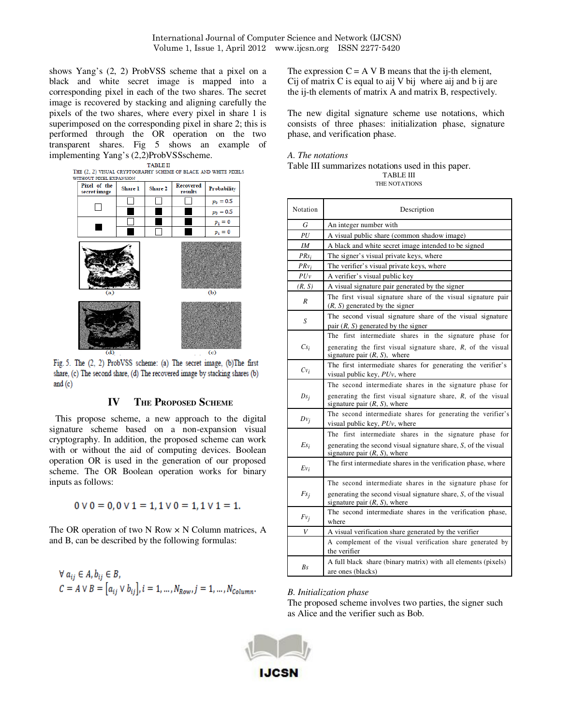shows Yang's (2, 2) ProbVSS scheme that a pixel on a black and white secret image is mapped into a corresponding pixel in each of the two shares. The secret image is recovered by stacking and aligning carefully the pixels of the two shares, where every pixel in share 1 is superimposed on the corresponding pixel in share 2; this is performed through the OR operation on the two transparent shares. Fig 5 shows an example of implementing Yang's (2,2)ProbVSSscheme.



Fig. 5. The (2, 2) ProbVSS scheme: (a) The secret image, (b)The first share, (c) The second share, (d) The recovered image by stacking shares (b) and  $(c)$ 

# **IV THE PROPOSED SCHEME**

 This propose scheme, a new approach to the digital signature scheme based on a non-expansion visual cryptography. In addition, the proposed scheme can work with or without the aid of computing devices. Boolean operation OR is used in the generation of our proposed scheme. The OR Boolean operation works for binary inputs as follows:

 $0 \vee 0 = 0, 0 \vee 1 = 1, 1 \vee 0 = 1, 1 \vee 1 = 1.$ 

The OR operation of two N Row  $\times$  N Column matrices, A and B, can be described by the following formulas:

$$
\begin{aligned} \forall \ a_{ij} \in A, b_{ij} \in B, \\ C = A \vee B = \left[ a_{ij} \vee b_{ij} \right], i = 1, \ldots, N_{Row}, j = 1, \ldots, N_{column}. \end{aligned}
$$

The expression  $C = A \vee B$  means that the ij-th element, Cij of matrix  $C$  is equal to aij  $V$  bij where aij and  $b$  ij are the ij-th elements of matrix A and matrix B, respectively.

The new digital signature scheme use notations, which consists of three phases: initialization phase, signature phase, and verification phase.

# *A. The notations*

#### Table III summarizes notations used in this paper. TABLE III THE NOTATIONS

| Notation | Description                                                                                         |  |
|----------|-----------------------------------------------------------------------------------------------------|--|
| G        | An integer number with                                                                              |  |
| PU       | A visual public share (common shadow image)                                                         |  |
| ΙM       | A black and white secret image intended to be signed                                                |  |
| $PRs_i$  | The signer's visual private keys, where                                                             |  |
| $PRv_i$  | The verifier's visual private keys, where                                                           |  |
| PUv      | A verifier's visual public key                                                                      |  |
| (R, S)   | A visual signature pair generated by the signer                                                     |  |
| R        | The first visual signature share of the visual signature pair<br>$(R, S)$ generated by the signer   |  |
| S        | The second visual signature share of the visual signature<br>pair $(R, S)$ generated by the signer  |  |
|          | The first intermediate shares in the signature phase for                                            |  |
| $Cs_i$   | generating the first visual signature share, $R$ , of the visual<br>signature pair $(R, S)$ , where |  |
| $Cv_i$   | The first intermediate shares for generating the verifier's<br>visual public key, PUv, where        |  |
|          | The second intermediate shares in the signature phase for                                           |  |
| $Ds_i$   | generating the first visual signature share, R, of the visual<br>signature pair $(R, S)$ , where    |  |
| $Dv_i$   | The second intermediate shares for generating the verifier's<br>visual public key, PUv, where       |  |
|          | The first intermediate shares in the signature phase for                                            |  |
| $Es_i$   | generating the second visual signature share, S, of the visual<br>signature pair $(R, S)$ , where   |  |
| $Ev_i$   | The first intermediate shares in the verification phase, where                                      |  |
|          | The second intermediate shares in the signature phase for                                           |  |
| $Fs_i$   | generating the second visual signature share, S, of the visual<br>signature pair $(R, S)$ , where   |  |
| $Fv_i$   | The second intermediate shares in the verification phase,<br>where                                  |  |
| V        | A visual verification share generated by the verifier                                               |  |
|          | A complement of the visual verification share generated by<br>the verifier                          |  |
|          | A full black share (binary matrix) with all elements (pixels)                                       |  |
| Bs       | are ones (blacks)                                                                                   |  |

### *B. Initialization phase*

The proposed scheme involves two parties, the signer such as Alice and the verifier such as Bob.

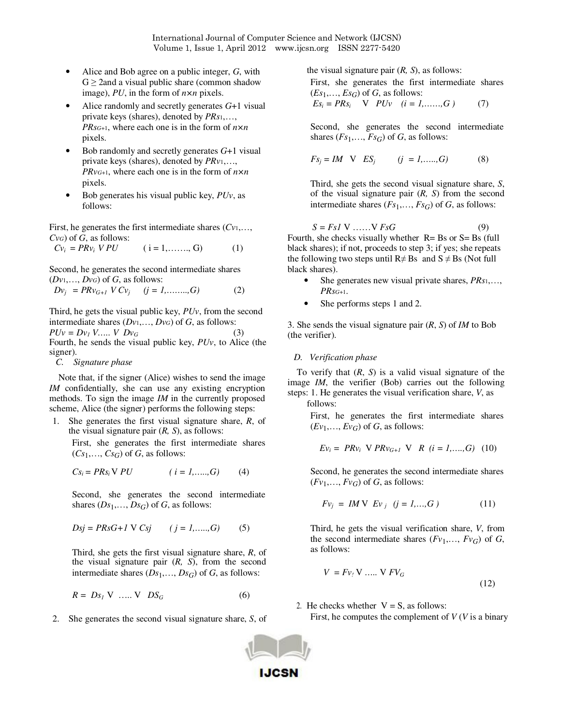International Journal of Computer Science and Network (IJCSN) Volume 1, Issue 1, April 2012 www.ijcsn.org ISSN 2277-5420

- Alice and Bob agree on a public integer, *G*, with  $G \geq 2$ and a visual public share (common shadow image), *PU*, in the form of *n×n* pixels.
- Alice randomly and secretly generates *G*+1 visual private keys (shares), denoted by *PRs*1,…, *PRs<sup>G</sup>*+1, where each one is in the form of *n×n*  pixels.
- Bob randomly and secretly generates *G*+1 visual private keys (shares), denoted by *PRv*1,…, *PRv<sup>G</sup>*+1, where each one is in the form of *n×n*  pixels.
- Bob generates his visual public key, *PUv*, as follows:

First, he generates the first intermediate shares (*Cv*1,…, *CvG*) of *G*, as follows:

$$
Cv_i = PRv_i \; VPU \qquad (i = 1, \dots, G) \tag{1}
$$

Second, he generates the second intermediate shares  $(Dv_1, \ldots, Dv_G)$  of *G*, as follows:

$$
Dv_j = PRv_{G+1} V Cv_j \t (j = 1, \dots, G)
$$
 (2)

Third, he gets the visual public key, *PUv*, from the second intermediate shares (*Dv*1,…, *DvG*) of *G*, as follows:  $PUv = Dv_1 V$ ….. *V*  $Dv_G$ Fourth, he sends the visual public key, *PUv*, to Alice (the signer).

*C. Signature phase*

Note that, if the signer (Alice) wishes to send the image *IM* confidentially, she can use any existing encryption methods. To sign the image *IM* in the currently proposed scheme, Alice (the signer) performs the following steps:

1. She generates the first visual signature share, *R*, of the visual signature pair (*R, S*), as follows:

First, she generates the first intermediate shares  $(Cs_1, \ldots, Cs_G)$  of *G*, as follows:

$$
Cs_i = PRs_i \, V \, PU \qquad (i = 1, \dots, G) \qquad (4)
$$

Second, she generates the second intermediate shares  $(Ds_1, \ldots, Ds_G)$  of *G*, as follows:

$$
Dsj = PRsG + l \ V \ Csj \qquad (j = 1, \dots, G) \tag{5}
$$

Third, she gets the first visual signature share, *R*, of the visual signature pair (*R, S*), from the second intermediate shares  $(Ds_1, \ldots, Ds_G)$  of *G*, as follows:

$$
R = DsI V \dots V DSG
$$
 (6)

2. She generates the second visual signature share, *S*, of

the visual signature pair (*R, S*), as follows:

First, she generates the first intermediate shares  $(Es_1,..., Es_G)$  of *G*, as follows:

$$
Es_i = PRs_i \quad \text{V} \quad PUv \quad (i = 1, \dots, G) \tag{7}
$$

Second, she generates the second intermediate shares  $(Fs_1, ..., Fs_G)$  of *G*, as follows:

$$
Fs_j = IM \quad V \quad ES_j \qquad (j = 1, \dots, G) \tag{8}
$$

Third, she gets the second visual signature share, *S*, of the visual signature pair (*R, S*) from the second intermediate shares  $(Fs_1, \ldots, Fs_G)$  of *G*, as follows:

$$
S = FsI \, \text{V} \, \dots \, \text{V} \, FsG \tag{9}
$$

Fourth, she checks visually whether  $R = Bs$  or  $S = Bs$  (full black shares); if not, proceeds to step 3; if yes; she repeats the following two steps until  $R \neq Bs$  and  $S \neq Bs$  (Not full black shares).

- She generates new visual private shares, *PRs*1,…, *PRs<sup>G</sup>*+1.
- She performs steps 1 and 2.

3. She sends the visual signature pair (*R*, *S*) of *IM* to Bob (the verifier).

# *D. Verification phase*

To verify that (*R*, *S*) is a valid visual signature of the image *IM*, the verifier (Bob) carries out the following steps: 1. He generates the visual verification share, *V*, as follows:

First, he generates the first intermediate shares  $(Ev_1,..., Ev_G)$  of *G*, as follows:

$$
Ev_i = PRv_i \, \text{V} \, PRv_{G+1} \, \text{V} \, R \, (i = 1, \dots, G) \, (10)
$$

Second, he generates the second intermediate shares  $(Fv_1,..., Fv_G)$  of *G*, as follows:

$$
Fv_j = IM \nabla Ev_j \ (j = 1,...,G)
$$
 (11)

Third, he gets the visual verification share, *V*, from the second intermediate shares  $(Fv_1,..., Fv_G)$  of *G*, as follows:

$$
V = Fv_t V \dots V FV_G
$$
\n
$$
(12)
$$

2. He checks whether  $V = S$ , as follows: First, he computes the complement of *V* (*V* is a binary

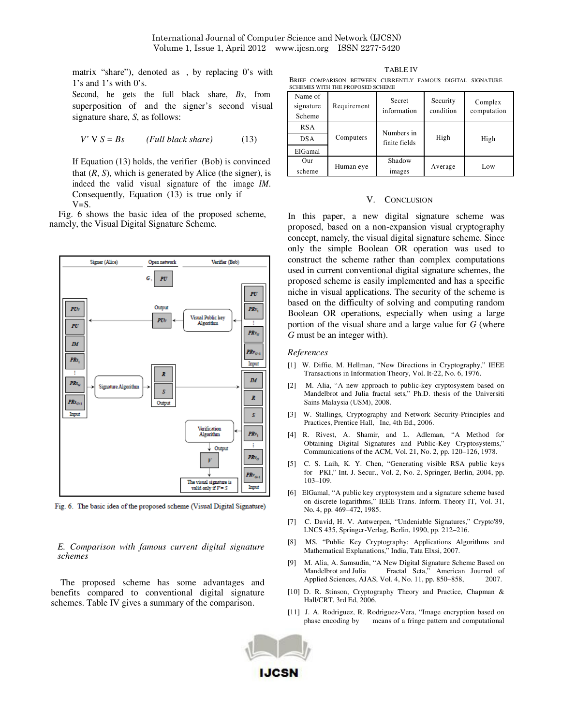matrix "share"), denoted as , by replacing 0's with 1's and 1's with 0's.

Second, he gets the full black share, *Bs*, from superposition of and the signer's second visual signature share, *S*, as follows:

$$
V' \text{ V} S = Bs \qquad (Full \, black \, share) \tag{13}
$$

If Equation (13) holds, the verifier (Bob) is convinced that  $(R, S)$ , which is generated by Alice (the signer), is indeed the valid visual signature of the image *IM*. Consequently, Equation (13) is true only if  $V=S$ .

Fig. 6 shows the basic idea of the proposed scheme, namely, the Visual Digital Signature Scheme.



Fig. 6. The basic idea of the proposed scheme (Visual Digital Signature)

*E. Comparison with famous current digital signature schemes* 

The proposed scheme has some advantages and benefits compared to conventional digital signature schemes. Table IV gives a summary of the comparison.

TABLE IV BRIEF COMPARISON BETWEEN CURRENTLY FAMOUS DIGITAL SIGNATURE SCHEMES WITH THE PROPOSED SCHEME

| Name of<br>signature<br>Scheme | Requirement | Secret<br>information       | Security<br>condition | Complex<br>computation |
|--------------------------------|-------------|-----------------------------|-----------------------|------------------------|
| <b>RSA</b><br><b>DSA</b>       | Computers   | Numbers in<br>finite fields | High                  | High                   |
| ElGamal                        |             |                             |                       |                        |
| Our<br>scheme                  | Human eye   | Shadow<br>images            | Average               | Low                    |

### V. CONCLUSION

In this paper, a new digital signature scheme was proposed, based on a non-expansion visual cryptography concept, namely, the visual digital signature scheme. Since only the simple Boolean OR operation was used to construct the scheme rather than complex computations used in current conventional digital signature schemes, the proposed scheme is easily implemented and has a specific niche in visual applications. The security of the scheme is based on the difficulty of solving and computing random Boolean OR operations, especially when using a large portion of the visual share and a large value for *G* (where *G* must be an integer with).

#### *References*

- [1] W. Diffie, M. Hellman, "New Directions in Cryptography," IEEE Transactions in Information Theory, Vol. It-22, No. 6, 1976.
- [2] M. Alia, "A new approach to public-key cryptosystem based on Mandelbrot and Julia fractal sets," Ph.D. thesis of the Universiti Sains Malaysia (USM), 2008.
- [3] W. Stallings, Cryptography and Network Security-Principles and Practices, Prentice Hall, Inc, 4th Ed., 2006.
- [4] R. Rivest, A. Shamir, and L. Adleman, "A Method for Obtaining Digital Signatures and Public-Key Cryptosystems," Communications of the ACM, Vol. 21, No. 2, pp. 120–126, 1978.
- [5] C. S. Laih, K. Y. Chen, "Generating visible RSA public keys for PKI," Int. J. Secur., Vol. 2, No. 2, Springer, Berlin, 2004, pp. 103–109.
- [6] ElGamal, "A public key cryptosystem and a signature scheme based on discrete logarithms," IEEE Trans. Inform. Theory IT, Vol. 31, No. 4, pp. 469–472, 1985.
- [7] C. David, H. V. Antwerpen, "Undeniable Signatures," Crypto'89, LNCS 435, Springer-Verlag, Berlin, 1990, pp. 212–216.
- [8] MS, "Public Key Cryptography: Applications Algorithms and Mathematical Explanations," India, Tata Elxsi, 2007.
- [9] M. Alia, A. Samsudin, "A New Digital Signature Scheme Based on Mandelbrot and Julia Fractal Seta," American Journal of Applied Sciences, AJAS, Vol. 4, No. 11, pp. 850–858. 2007. Applied Sciences, AJAS, Vol. 4, No. 11, pp. 850-858,
- [10] D. R. Stinson, Cryptography Theory and Practice, Chapman & Hall/CRT, 3rd Ed, 2006.
- [11] J. A. Rodriguez, R. Rodriguez-Vera, "Image encryption based on phase encoding by means of a fringe pattern and computational